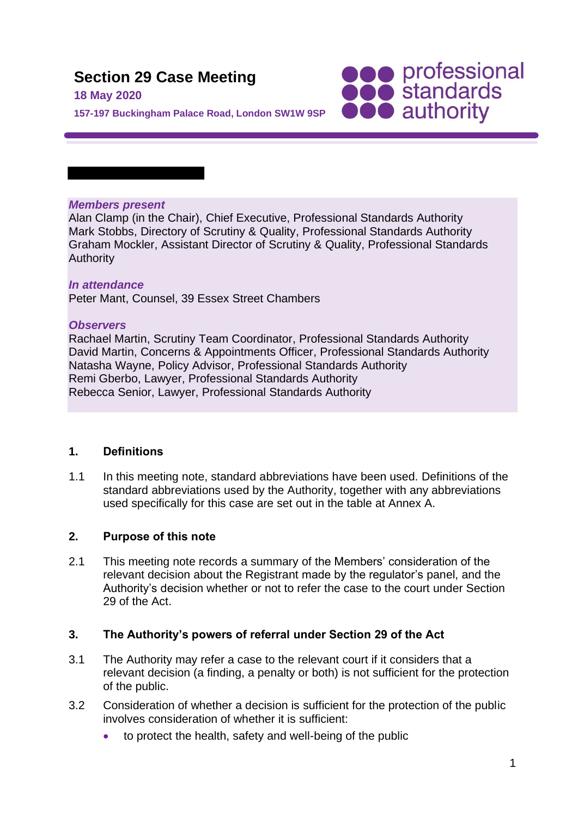# **Section 29 Case Meeting**

**18 May 2020**

**SOO professional**<br> **SOO standards**<br> **OOO** authority

**157-197 Buckingham Palace Road, London SW1W 9SP**

#### *Members present*

Alan Clamp (in the Chair), Chief Executive, Professional Standards Authority Mark Stobbs, Directory of Scrutiny & Quality, Professional Standards Authority Graham Mockler, Assistant Director of Scrutiny & Quality, Professional Standards **Authority** 

## *In attendance*

Peter Mant, Counsel, 39 Essex Street Chambers

## *Observers*

Rachael Martin, Scrutiny Team Coordinator, Professional Standards Authority David Martin, Concerns & Appointments Officer, Professional Standards Authority Natasha Wayne, Policy Advisor, Professional Standards Authority Remi Gberbo, Lawyer, Professional Standards Authority Rebecca Senior, Lawyer, Professional Standards Authority

## **1. Definitions**

1.1 In this meeting note, standard abbreviations have been used. Definitions of the standard abbreviations used by the Authority, together with any abbreviations used specifically for this case are set out in the table at Annex A.

## **2. Purpose of this note**

2.1 This meeting note records a summary of the Members' consideration of the relevant decision about the Registrant made by the regulator's panel, and the Authority's decision whether or not to refer the case to the court under Section 29 of the Act.

## **3. The Authority's powers of referral under Section 29 of the Act**

- 3.1 The Authority may refer a case to the relevant court if it considers that a relevant decision (a finding, a penalty or both) is not sufficient for the protection of the public.
- 3.2 Consideration of whether a decision is sufficient for the protection of the public involves consideration of whether it is sufficient:
	- to protect the health, safety and well-being of the public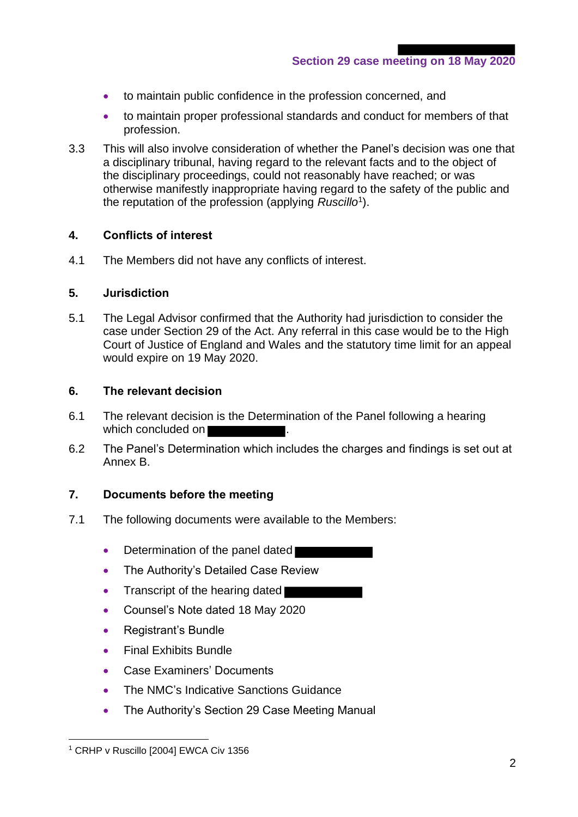- to maintain public confidence in the profession concerned, and
- to maintain proper professional standards and conduct for members of that profession.
- 3.3 This will also involve consideration of whether the Panel's decision was one that a disciplinary tribunal, having regard to the relevant facts and to the object of the disciplinary proceedings, could not reasonably have reached; or was otherwise manifestly inappropriate having regard to the safety of the public and the reputation of the profession (applying *Ruscillo*<sup>1</sup> ).

## **4. Conflicts of interest**

4.1 The Members did not have any conflicts of interest.

#### **5. Jurisdiction**

5.1 The Legal Advisor confirmed that the Authority had jurisdiction to consider the case under Section 29 of the Act. Any referral in this case would be to the High Court of Justice of England and Wales and the statutory time limit for an appeal would expire on 19 May 2020.

## **6. The relevant decision**

- 6.1 The relevant decision is the Determination of the Panel following a hearing which concluded on
- 6.2 The Panel's Determination which includes the charges and findings is set out at Annex B.

## **7. Documents before the meeting**

- 7.1 The following documents were available to the Members:
	- Determination of the panel dated
	- The Authority's Detailed Case Review
	- Transcript of the hearing dated
	- Counsel's Note dated 18 May 2020
	- Registrant's Bundle
	- Final Exhibits Bundle
	- Case Examiners' Documents
	- The NMC's Indicative Sanctions Guidance
	- The Authority's Section 29 Case Meeting Manual

<sup>&</sup>lt;sup>1</sup> CRHP v Ruscillo [2004] EWCA Civ 1356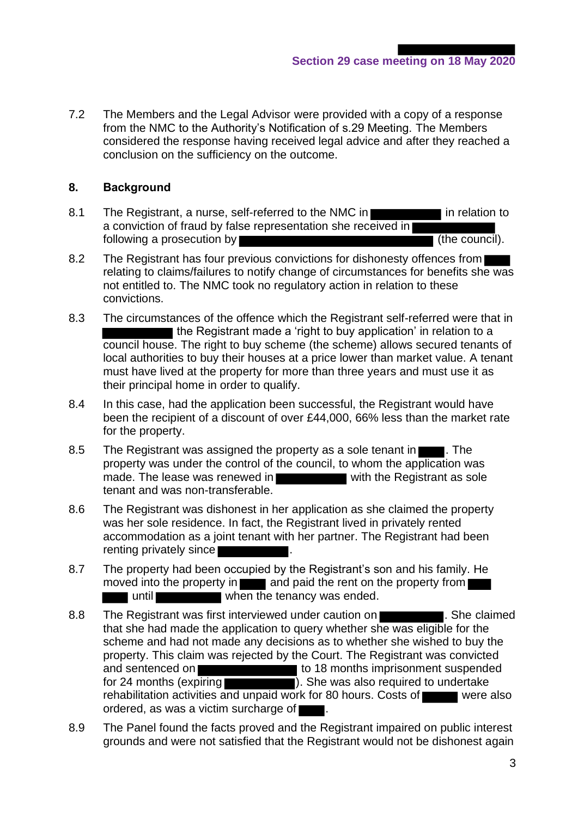7.2 The Members and the Legal Advisor were provided with a copy of a response from the NMC to the Authority's Notification of s.29 Meeting. The Members considered the response having received legal advice and after they reached a conclusion on the sufficiency on the outcome.

## **8. Background**

- 8.1 The Registrant, a nurse, self-referred to the NMC in **Figure 2.1** in relation to a conviction of fraud by false representation she received in following a prosecution by  $\blacksquare$
- 8.2 The Registrant has four previous convictions for dishonesty offences from relating to claims/failures to notify change of circumstances for benefits she was not entitled to. The NMC took no regulatory action in relation to these convictions.
- 8.3 The circumstances of the offence which the Registrant self-referred were that in I the Registrant made a 'right to buy application' in relation to a council house. The right to buy scheme (the scheme) allows secured tenants of local authorities to buy their houses at a price lower than market value. A tenant must have lived at the property for more than three years and must use it as their principal home in order to qualify.
- 8.4 In this case, had the application been successful, the Registrant would have been the recipient of a discount of over £44,000, 66% less than the market rate for the property.
- 8.5 The Registrant was assigned the property as a sole tenant in **The Execute**. The property was under the control of the council, to whom the application was made. The lease was renewed in with the Registrant as sole tenant and was non-transferable.
- 8.6 The Registrant was dishonest in her application as she claimed the property was her sole residence. In fact, the Registrant lived in privately rented accommodation as a joint tenant with her partner. The Registrant had been renting privately since
- 8.7 The property had been occupied by the Registrant's son and his family. He moved into the property in  $\Box$  and paid the rent on the property from  $\Box$ until when the tenancy was ended.
- 8.8 The Registrant was first interviewed under caution on **The Constantineer** . She claimed that she had made the application to query whether she was eligible for the scheme and had not made any decisions as to whether she wished to buy the property. This claim was rejected by the Court. The Registrant was convicted and sentenced on **the sense is a sense in the 18** months imprisonment suspended for 24 months (expiring **the same of the set of the was also required to undertake** rehabilitation activities and unpaid work for 80 hours. Costs of were also ordered, as was a victim surcharge of  $\blacksquare$ .
- 8.9 The Panel found the facts proved and the Registrant impaired on public interest grounds and were not satisfied that the Registrant would not be dishonest again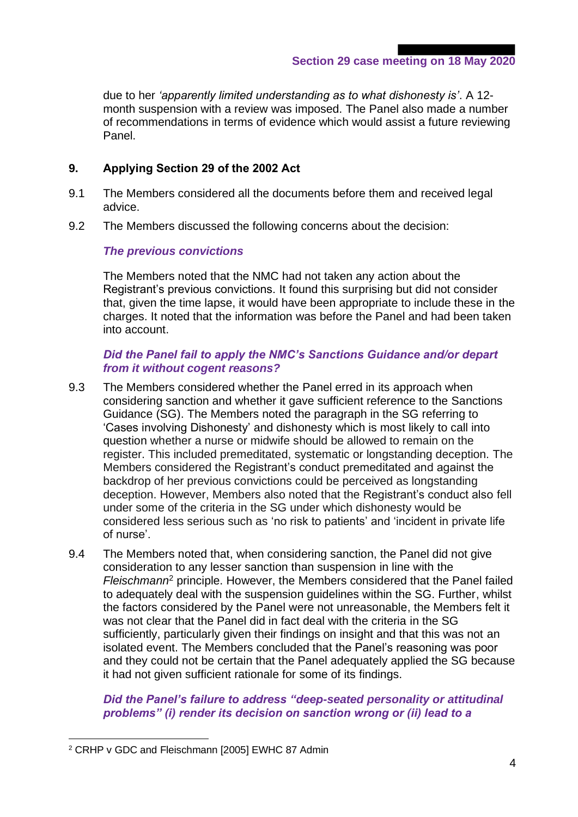**Section 29 case meeting on 18 May 2020**

due to her *'apparently limited understanding as to what dishonesty is'*. A 12 month suspension with a review was imposed. The Panel also made a number of recommendations in terms of evidence which would assist a future reviewing Panel.

## **9. Applying Section 29 of the 2002 Act**

- 9.1 The Members considered all the documents before them and received legal advice.
- 9.2 The Members discussed the following concerns about the decision:

## *The previous convictions*

The Members noted that the NMC had not taken any action about the Registrant's previous convictions. It found this surprising but did not consider that, given the time lapse, it would have been appropriate to include these in the charges. It noted that the information was before the Panel and had been taken into account.

#### *Did the Panel fail to apply the NMC's Sanctions Guidance and/or depart from it without cogent reasons?*

- 9.3 The Members considered whether the Panel erred in its approach when considering sanction and whether it gave sufficient reference to the Sanctions Guidance (SG). The Members noted the paragraph in the SG referring to 'Cases involving Dishonesty' and dishonesty which is most likely to call into question whether a nurse or midwife should be allowed to remain on the register. This included premeditated, systematic or longstanding deception. The Members considered the Registrant's conduct premeditated and against the backdrop of her previous convictions could be perceived as longstanding deception. However, Members also noted that the Registrant's conduct also fell under some of the criteria in the SG under which dishonesty would be considered less serious such as 'no risk to patients' and 'incident in private life of nurse'.
- 9.4 The Members noted that, when considering sanction, the Panel did not give consideration to any lesser sanction than suspension in line with the *Fleischmann*<sup>2</sup> principle. However, the Members considered that the Panel failed to adequately deal with the suspension guidelines within the SG. Further, whilst the factors considered by the Panel were not unreasonable, the Members felt it was not clear that the Panel did in fact deal with the criteria in the SG sufficiently, particularly given their findings on insight and that this was not an isolated event. The Members concluded that the Panel's reasoning was poor and they could not be certain that the Panel adequately applied the SG because it had not given sufficient rationale for some of its findings.

*Did the Panel's failure to address "deep-seated personality or attitudinal problems" (i) render its decision on sanction wrong or (ii) lead to a* 

<sup>2</sup> CRHP v GDC and Fleischmann [2005] EWHC 87 Admin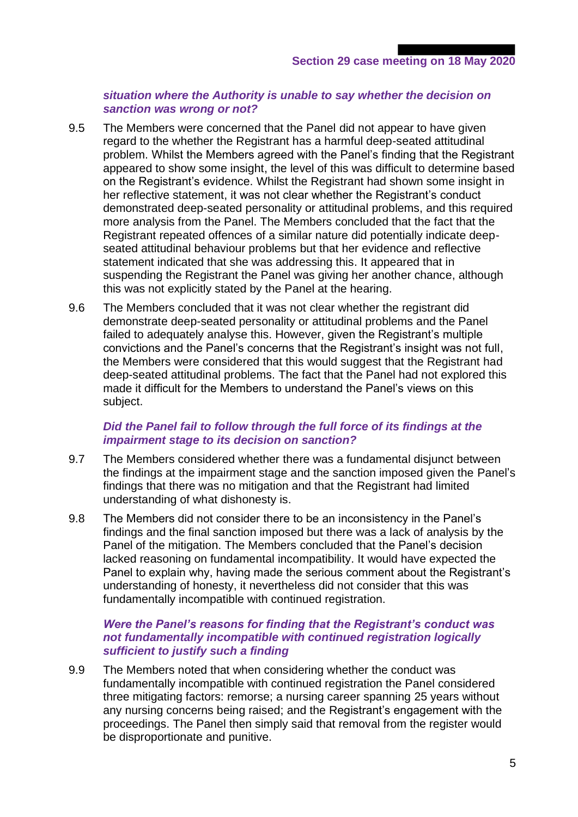#### *situation where the Authority is unable to say whether the decision on sanction was wrong or not?*

- 9.5 The Members were concerned that the Panel did not appear to have given regard to the whether the Registrant has a harmful deep-seated attitudinal problem. Whilst the Members agreed with the Panel's finding that the Registrant appeared to show some insight, the level of this was difficult to determine based on the Registrant's evidence. Whilst the Registrant had shown some insight in her reflective statement, it was not clear whether the Registrant's conduct demonstrated deep-seated personality or attitudinal problems, and this required more analysis from the Panel. The Members concluded that the fact that the Registrant repeated offences of a similar nature did potentially indicate deepseated attitudinal behaviour problems but that her evidence and reflective statement indicated that she was addressing this. It appeared that in suspending the Registrant the Panel was giving her another chance, although this was not explicitly stated by the Panel at the hearing.
- 9.6 The Members concluded that it was not clear whether the registrant did demonstrate deep-seated personality or attitudinal problems and the Panel failed to adequately analyse this. However, given the Registrant's multiple convictions and the Panel's concerns that the Registrant's insight was not full, the Members were considered that this would suggest that the Registrant had deep-seated attitudinal problems. The fact that the Panel had not explored this made it difficult for the Members to understand the Panel's views on this subject.

#### *Did the Panel fail to follow through the full force of its findings at the impairment stage to its decision on sanction?*

- 9.7 The Members considered whether there was a fundamental disjunct between the findings at the impairment stage and the sanction imposed given the Panel's findings that there was no mitigation and that the Registrant had limited understanding of what dishonesty is.
- 9.8 The Members did not consider there to be an inconsistency in the Panel's findings and the final sanction imposed but there was a lack of analysis by the Panel of the mitigation. The Members concluded that the Panel's decision lacked reasoning on fundamental incompatibility. It would have expected the Panel to explain why, having made the serious comment about the Registrant's understanding of honesty, it nevertheless did not consider that this was fundamentally incompatible with continued registration.

#### *Were the Panel's reasons for finding that the Registrant's conduct was not fundamentally incompatible with continued registration logically sufficient to justify such a finding*

9.9 The Members noted that when considering whether the conduct was fundamentally incompatible with continued registration the Panel considered three mitigating factors: remorse; a nursing career spanning 25 years without any nursing concerns being raised; and the Registrant's engagement with the proceedings. The Panel then simply said that removal from the register would be disproportionate and punitive.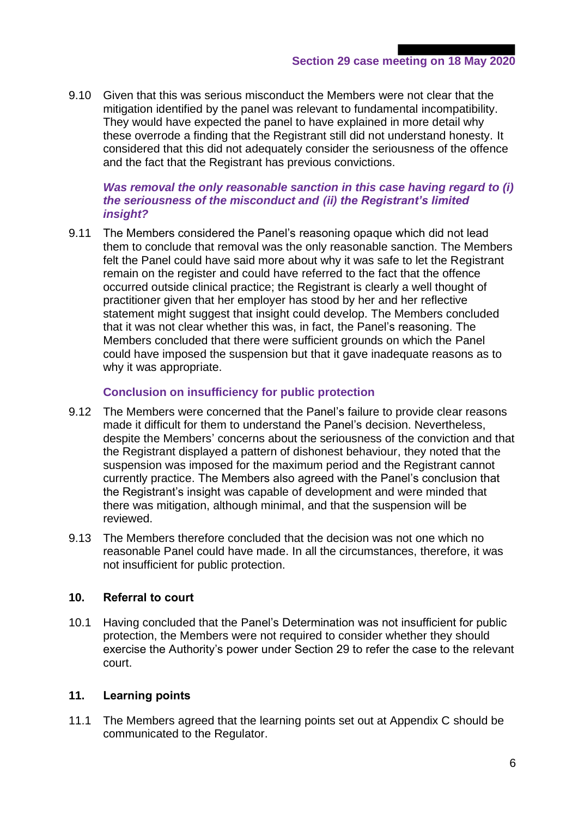9.10 Given that this was serious misconduct the Members were not clear that the mitigation identified by the panel was relevant to fundamental incompatibility. They would have expected the panel to have explained in more detail why these overrode a finding that the Registrant still did not understand honesty. It considered that this did not adequately consider the seriousness of the offence and the fact that the Registrant has previous convictions.

#### *Was removal the only reasonable sanction in this case having regard to (i) the seriousness of the misconduct and (ii) the Registrant's limited insight?*

9.11 The Members considered the Panel's reasoning opaque which did not lead them to conclude that removal was the only reasonable sanction. The Members felt the Panel could have said more about why it was safe to let the Registrant remain on the register and could have referred to the fact that the offence occurred outside clinical practice; the Registrant is clearly a well thought of practitioner given that her employer has stood by her and her reflective statement might suggest that insight could develop. The Members concluded that it was not clear whether this was, in fact, the Panel's reasoning. The Members concluded that there were sufficient grounds on which the Panel could have imposed the suspension but that it gave inadequate reasons as to why it was appropriate.

## **Conclusion on insufficiency for public protection**

- 9.12 The Members were concerned that the Panel's failure to provide clear reasons made it difficult for them to understand the Panel's decision. Nevertheless, despite the Members' concerns about the seriousness of the conviction and that the Registrant displayed a pattern of dishonest behaviour, they noted that the suspension was imposed for the maximum period and the Registrant cannot currently practice. The Members also agreed with the Panel's conclusion that the Registrant's insight was capable of development and were minded that there was mitigation, although minimal, and that the suspension will be reviewed.
- 9.13 The Members therefore concluded that the decision was not one which no reasonable Panel could have made. In all the circumstances, therefore, it was not insufficient for public protection.

#### **10. Referral to court**

10.1 Having concluded that the Panel's Determination was not insufficient for public protection, the Members were not required to consider whether they should exercise the Authority's power under Section 29 to refer the case to the relevant court.

#### **11. Learning points**

11.1 The Members agreed that the learning points set out at Appendix C should be communicated to the Regulator.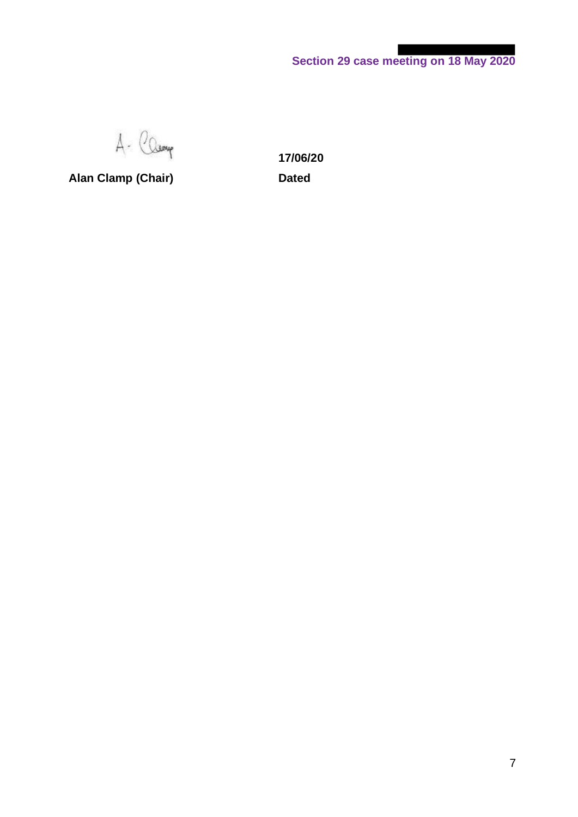**Section 29 case meeting on 18 May 2020**

A- Camp

**Alan Clamp (Chair) Dated**

**17/06/20**